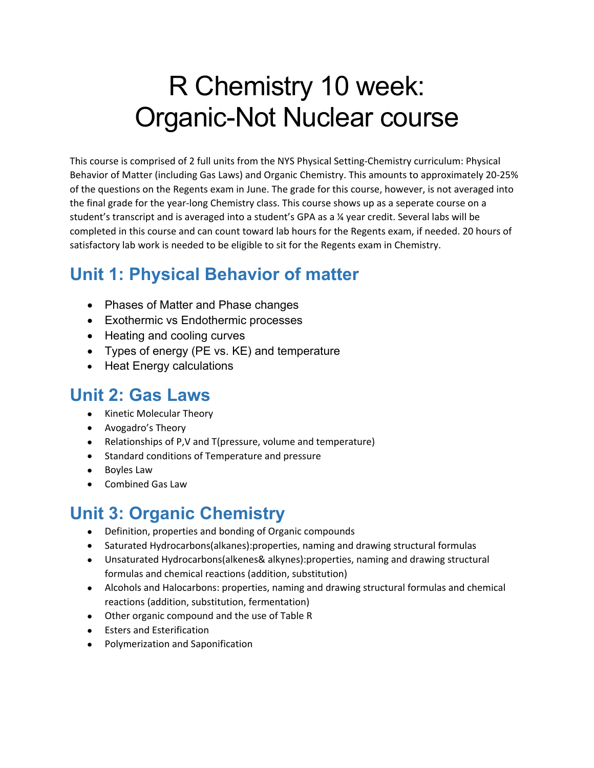# R Chemistry 10 week: Organic-Not Nuclear course

This course is comprised of 2 full units from the NYS Physical Setting-Chemistry curriculum: Physical Behavior of Matter (including Gas Laws) and Organic Chemistry. This amounts to approximately 20-25% of the questions on the Regents exam in June. The grade for this course, however, is not averaged into the final grade for the year-long Chemistry class. This course shows up as a seperate course on a student's transcript and is averaged into a student's GPA as a ¼ year credit. Several labs will be completed in this course and can count toward lab hours for the Regents exam, if needed. 20 hours of satisfactory lab work is needed to be eligible to sit for the Regents exam in Chemistry.

# **Unit 1: Physical Behavior of matter**

- Phases of Matter and Phase changes
- Exothermic vs Endothermic processes
- Heating and cooling curves
- Types of energy (PE vs. KE) and temperature
- Heat Energy calculations

### **Unit 2: Gas Laws**

- Kinetic Molecular Theory
- Avogadro's Theory
- Relationships of P,V and T(pressure, volume and temperature)
- Standard conditions of Temperature and pressure
- Boyles Law
- Combined Gas Law

# **Unit 3: Organic Chemistry**

- Definition, properties and bonding of Organic compounds
- Saturated Hydrocarbons(alkanes):properties, naming and drawing structural formulas
- Unsaturated Hydrocarbons(alkenes& alkynes):properties, naming and drawing structural formulas and chemical reactions (addition, substitution)
- Alcohols and Halocarbons: properties, naming and drawing structural formulas and chemical reactions (addition, substitution, fermentation)
- Other organic compound and the use of Table R
- Esters and Esterification
- Polymerization and Saponification